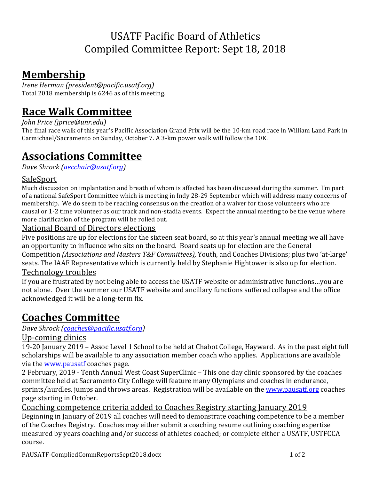### USATF Pacific Board of Athletics Compiled Committee Report: Sept 18, 2018

### **Membership**

*Irene Herman (president@pacific.usatf.org)* Total 2018 membership is 6246 as of this meeting.

# **Race Walk Committee**

*John Price (jprice@unr.edu)* 

The final race walk of this year's Pacific Association Grand Prix will be the 10-km road race in William Land Park in Carmichael/Sacramento on Sunday, October 7. A 3-km power walk will follow the 10K.

# **Associations Committee**

*Dave Shrock (aecchair@usatf.org)* 

#### SafeSport

Much discussion on implantation and breath of whom is affected has been discussed during the summer. I'm part of a national SafeSport Committee which is meeting in Indy 28-29 September which will address many concerns of membership. We do seem to be reaching consensus on the creation of a waiver for those volunteers who are causal or 1-2 time volunteer as our track and non-stadia events. Expect the annual meeting to be the venue where more clarification of the program will be rolled out.

#### National Board of Directors elections

Five positions are up for elections for the sixteen seat board, so at this year's annual meeting we all have an opportunity to influence who sits on the board. Board seats up for election are the General Competition *(Associations and Masters T&F Committees)*, Youth, and Coaches Divisions; plus two 'at-large' seats. The IAAF Representative which is currently held by Stephanie Hightower is also up for election. Technology troubles

If you are frustrated by not being able to access the USATF website or administrative functions...you are not alone. Over the summer our USATF website and ancillary functions suffered collapse and the office acknowledged it will be a long-term fix.

## **Coaches Committee**

*Dave Shrock (coaches@pacific.usatf.org)*

### Up-coming clinics

19-20 January 2019 – Assoc Level 1 School to be held at Chabot College, Hayward. As in the past eight full scholarships will be available to any association member coach who applies. Applications are available via the www.pausatf coaches page.

2 February, 2019 - Tenth Annual West Coast SuperClinic - This one day clinic sponsored by the coaches committee held at Sacramento City College will feature many Olympians and coaches in endurance, sprints/hurdles, jumps and throws areas. Registration will be available on the www.pausatf.org coaches page starting in October.

Coaching competence criteria added to Coaches Registry starting January 2019

Beginning in January of 2019 all coaches will need to demonstrate coaching competence to be a member of the Coaches Registry. Coaches may either submit a coaching resume outlining coaching expertise measured by years coaching and/or success of athletes coached; or complete either a USATF, USTFCCA course.